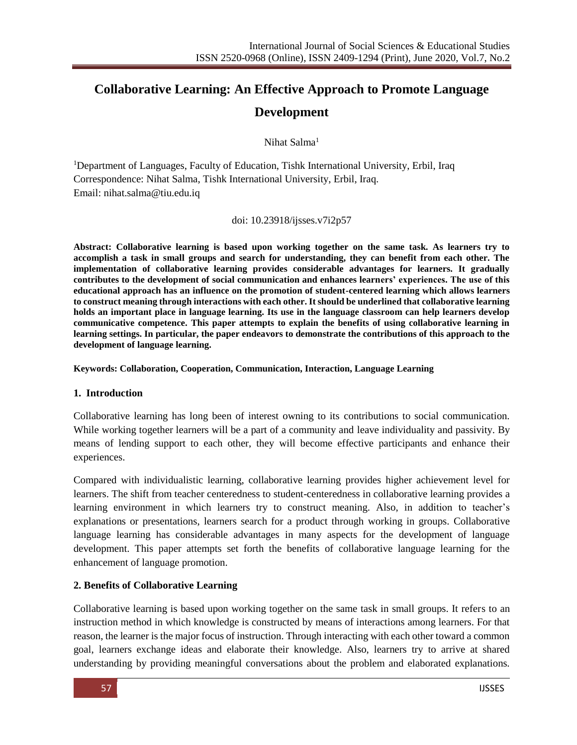# **Collaborative Learning: An Effective Approach to Promote Language Development**

Nihat Salma<sup>1</sup>

<sup>1</sup>Department of Languages, Faculty of Education, Tishk International University, Erbil, Iraq Correspondence: Nihat Salma, Tishk International University, Erbil, Iraq. Email: nihat.salma@tiu.edu.iq

doi: 10.23918/ijsses.v7i2p57

**Abstract: Collaborative learning is based upon working together on the same task. As learners try to accomplish a task in small groups and search for understanding, they can benefit from each other. The implementation of collaborative learning provides considerable advantages for learners. It gradually contributes to the development of social communication and enhances learners' experiences. The use of this educational approach has an influence on the promotion of student-centered learning which allows learners to construct meaning through interactions with each other. It should be underlined that collaborative learning holds an important place in language learning. Its use in the language classroom can help learners develop communicative competence. This paper attempts to explain the benefits of using collaborative learning in learning settings. In particular, the paper endeavors to demonstrate the contributions of this approach to the development of language learning.**

**Keywords: Collaboration, Cooperation, Communication, Interaction, Language Learning**

### **1. Introduction**

Collaborative learning has long been of interest owning to its contributions to social communication. While working together learners will be a part of a community and leave individuality and passivity. By means of lending support to each other, they will become effective participants and enhance their experiences.

Compared with individualistic learning, collaborative learning provides higher achievement level for learners. The shift from teacher centeredness to student-centeredness in collaborative learning provides a learning environment in which learners try to construct meaning. Also, in addition to teacher's explanations or presentations, learners search for a product through working in groups. Collaborative language learning has considerable advantages in many aspects for the development of language development. This paper attempts set forth the benefits of collaborative language learning for the enhancement of language promotion.

### **2. Benefits of Collaborative Learning**

Collaborative learning is based upon working together on the same task in small groups. It refers to an instruction method in which knowledge is constructed by means of interactions among learners. For that reason, the learner is the major focus of instruction. Through interacting with each other toward a common goal, learners exchange ideas and elaborate their knowledge. Also, learners try to arrive at shared understanding by providing meaningful conversations about the problem and elaborated explanations.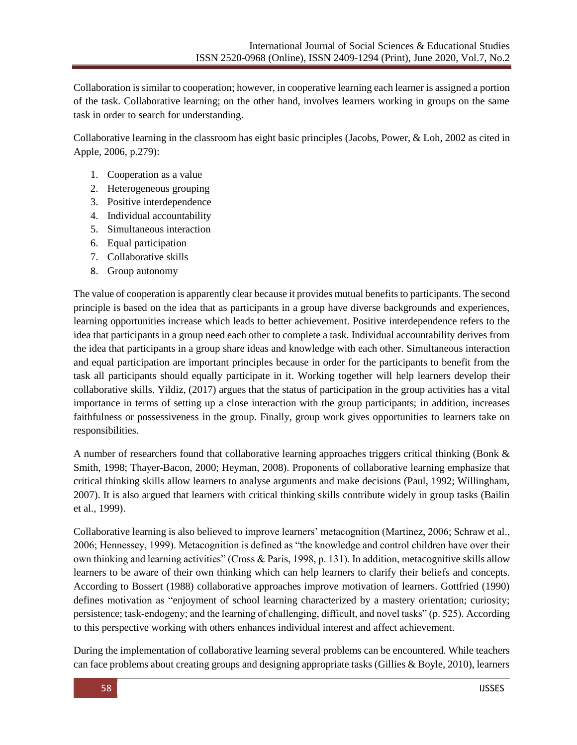Collaboration is similar to cooperation; however, in cooperative learning each learner is assigned a portion of the task. Collaborative learning; on the other hand, involves learners working in groups on the same task in order to search for understanding.

Collaborative learning in the classroom has eight basic principles (Jacobs, Power, & Loh, 2002 as cited in Apple, 2006, p.279):

- 1. Cooperation as a value
- 2. Heterogeneous grouping
- 3. Positive interdependence
- 4. Individual accountability
- 5. Simultaneous interaction
- 6. Equal participation
- 7. Collaborative skills
- 8. Group autonomy

The value of cooperation is apparently clear because it provides mutual benefits to participants. The second principle is based on the idea that as participants in a group have diverse backgrounds and experiences, learning opportunities increase which leads to better achievement. Positive interdependence refers to the idea that participants in a group need each other to complete a task. Individual accountability derives from the idea that participants in a group share ideas and knowledge with each other. Simultaneous interaction and equal participation are important principles because in order for the participants to benefit from the task all participants should equally participate in it. Working together will help learners develop their collaborative skills. Yildiz, (2017) argues that the status of participation in the group activities has a vital importance in terms of setting up a close interaction with the group participants; in addition, increases faithfulness or possessiveness in the group. Finally, group work gives opportunities to learners take on responsibilities.

A number of researchers found that collaborative learning approaches triggers critical thinking (Bonk & Smith, 1998; Thayer-Bacon, 2000; Heyman, 2008). Proponents of collaborative learning emphasize that critical thinking skills allow learners to analyse arguments and make decisions (Paul, 1992; Willingham, 2007). It is also argued that learners with critical thinking skills contribute widely in group tasks (Bailin et al., 1999).

Collaborative learning is also believed to improve learners' metacognition (Martinez, 2006; Schraw et al., 2006; Hennessey, 1999). Metacognition is defined as "the knowledge and control children have over their own thinking and learning activities" (Cross & Paris, 1998, p. 131). In addition, metacognitive skills allow learners to be aware of their own thinking which can help learners to clarify their beliefs and concepts. According to Bossert (1988) collaborative approaches improve motivation of learners. Gottfried (1990) defines motivation as "enjoyment of school learning characterized by a mastery orientation; curiosity; persistence; task-endogeny; and the learning of challenging, difficult, and novel tasks" (p. 525). According to this perspective working with others enhances individual interest and affect achievement.

During the implementation of collaborative learning several problems can be encountered. While teachers can face problems about creating groups and designing appropriate tasks (Gillies & Boyle, 2010), learners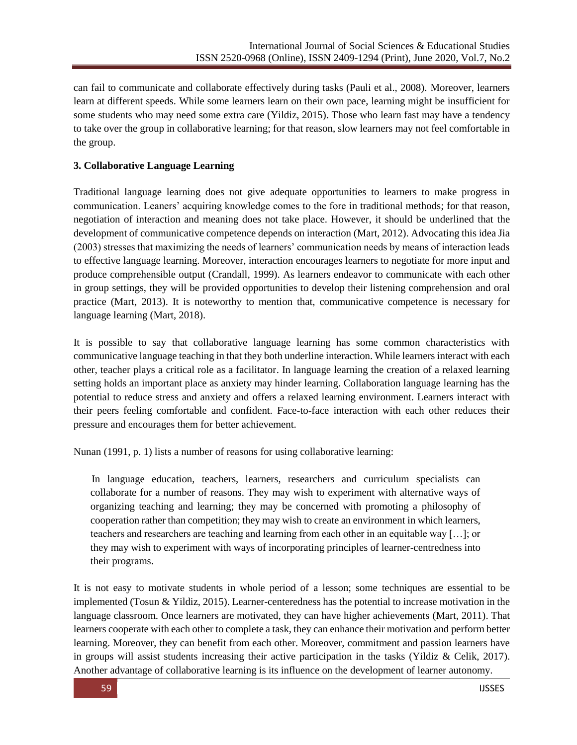can fail to communicate and collaborate effectively during tasks (Pauli et al., 2008). Moreover, learners learn at different speeds. While some learners learn on their own pace, learning might be insufficient for some students who may need some extra care (Yildiz, 2015). Those who learn fast may have a tendency to take over the group in collaborative learning; for that reason, slow learners may not feel comfortable in the group.

# **3. Collaborative Language Learning**

Traditional language learning does not give adequate opportunities to learners to make progress in communication. Leaners' acquiring knowledge comes to the fore in traditional methods; for that reason, negotiation of interaction and meaning does not take place. However, it should be underlined that the development of communicative competence depends on interaction (Mart, 2012). Advocating this idea Jia (2003) stresses that maximizing the needs of learners' communication needs by means of interaction leads to effective language learning. Moreover, interaction encourages learners to negotiate for more input and produce comprehensible output (Crandall, 1999). As learners endeavor to communicate with each other in group settings, they will be provided opportunities to develop their listening comprehension and oral practice (Mart, 2013). It is noteworthy to mention that, communicative competence is necessary for language learning (Mart, 2018).

It is possible to say that collaborative language learning has some common characteristics with communicative language teaching in that they both underline interaction. While learners interact with each other, teacher plays a critical role as a facilitator. In language learning the creation of a relaxed learning setting holds an important place as anxiety may hinder learning. Collaboration language learning has the potential to reduce stress and anxiety and offers a relaxed learning environment. Learners interact with their peers feeling comfortable and confident. Face-to-face interaction with each other reduces their pressure and encourages them for better achievement.

Nunan (1991, p. 1) lists a number of reasons for using collaborative learning:

 In language education, teachers, learners, researchers and curriculum specialists can collaborate for a number of reasons. They may wish to experiment with alternative ways of organizing teaching and learning; they may be concerned with promoting a philosophy of cooperation rather than competition; they may wish to create an environment in which learners, teachers and researchers are teaching and learning from each other in an equitable way […]; or they may wish to experiment with ways of incorporating principles of learner-centredness into their programs.

It is not easy to motivate students in whole period of a lesson; some techniques are essential to be implemented (Tosun & Yildiz, 2015). Learner-centeredness has the potential to increase motivation in the language classroom. Once learners are motivated, they can have higher achievements (Mart, 2011). That learners cooperate with each other to complete a task, they can enhance their motivation and perform better learning. Moreover, they can benefit from each other. Moreover, commitment and passion learners have in groups will assist students increasing their active participation in the tasks (Yildiz  $\&$  Celik, 2017). Another advantage of collaborative learning is its influence on the development of learner autonomy.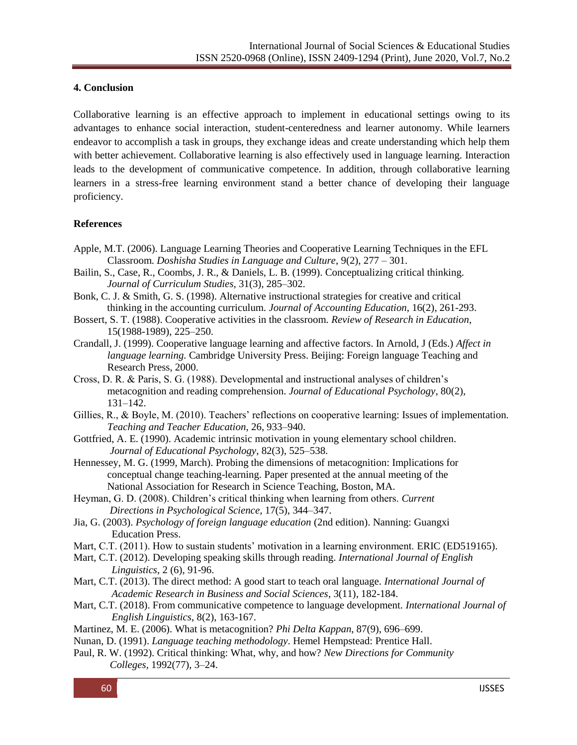## **4. Conclusion**

Collaborative learning is an effective approach to implement in educational settings owing to its advantages to enhance social interaction, student-centeredness and learner autonomy. While learners endeavor to accomplish a task in groups, they exchange ideas and create understanding which help them with better achievement. Collaborative learning is also effectively used in language learning. Interaction leads to the development of communicative competence. In addition, through collaborative learning learners in a stress-free learning environment stand a better chance of developing their language proficiency.

## **References**

- Apple, M.T. (2006). Language Learning Theories and Cooperative Learning Techniques in the EFL Classroom. *Doshisha Studies in Language and Culture*, 9(2), 277 – 301.
- Bailin, S., Case, R., Coombs, J. R., & Daniels, L. B. (1999). Conceptualizing critical thinking.  *Journal of Curriculum Studies,* 31(3), 285–302.
- Bonk, C. J. & Smith, G. S. (1998). Alternative instructional strategies for creative and critical thinking in the accounting curriculum. *Journal of Accounting Education*, 16(2), 261-293.
- Bossert, S. T. (1988). Cooperative activities in the classroom. *Review of Research in Education*, 15(1988-1989), 225–250.
- Crandall, J. (1999). Cooperative language learning and affective factors. In Arnold, J (Eds.) *Affect in language learning.* Cambridge University Press. Beijing: Foreign language Teaching and Research Press, 2000.
- Cross, D. R. & Paris, S. G. (1988). Developmental and instructional analyses of children's metacognition and reading comprehension. *Journal of Educational Psychology*, 80(2), 131–142.
- Gillies, R., & Boyle, M. (2010). Teachers' reflections on cooperative learning: Issues of implementation. *Teaching and Teacher Education*, 26, 933–940.
- Gottfried, A. E. (1990). Academic intrinsic motivation in young elementary school children. *Journal of Educational Psychology*, 82(3), 525–538.
- Hennessey, M. G. (1999, March). Probing the dimensions of metacognition: Implications for conceptual change teaching-learning. Paper presented at the annual meeting of the National Association for Research in Science Teaching, Boston, MA.
- Heyman, G. D. (2008). Children's critical thinking when learning from others. *Current Directions in Psychological Science,* 17(5), 344–347.
- Jia, G. (2003). *Psychology of foreign language education* (2nd edition). Nanning: Guangxi Education Press.
- Mart, C.T. (2011). How to sustain students' motivation in a learning environment. ERIC (ED519165).
- Mart, C.T. (2012). [Developing speaking skills through reading.](javascript:void(0)) *International Journal of English Linguistics*, 2 (6), 91-96.
- Mart, C.T. (2013). The direct method: A good start to teach oral language. *International Journal of Academic Research in Business and Social Sciences*, 3(11), 182-184.
- Mart, C.T. (2018). From communicative competence to language development. *International Journal of English Linguistics*, 8(2), 163-167.
- Martinez, M. E. (2006). What is metacognition? *Phi Delta Kappan*, 87(9), 696–699.
- Nunan, D. (1991). *Language teaching methodology*. Hemel Hempstead: Prentice Hall.
- Paul, R. W. (1992). Critical thinking: What, why, and how? *New Directions for Community Colleges,* 1992(77), 3–24.